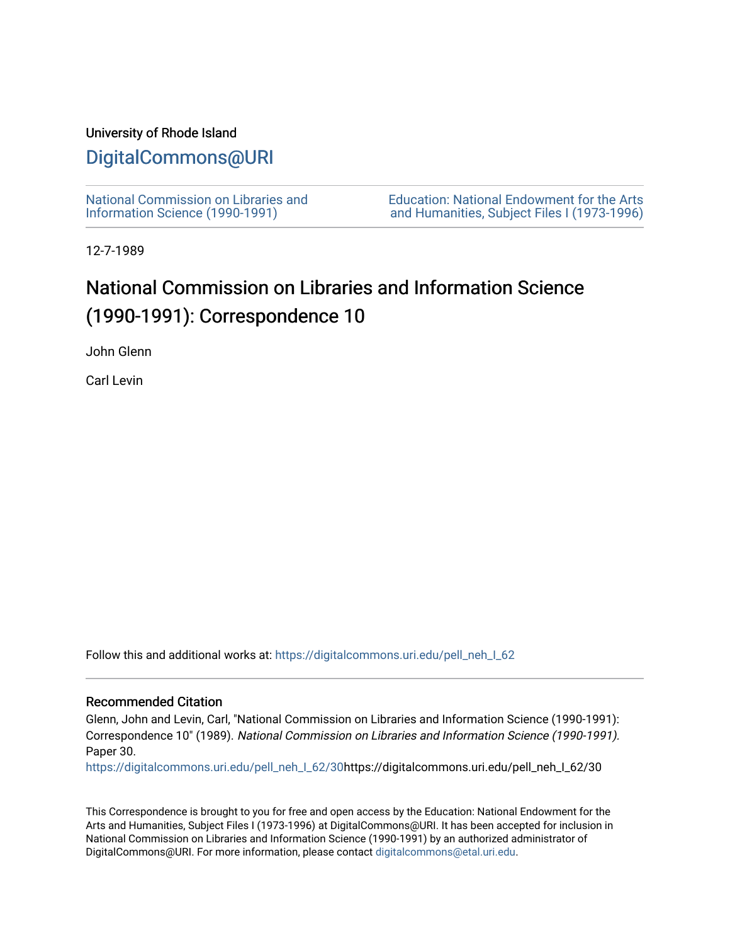## University of Rhode Island

## [DigitalCommons@URI](https://digitalcommons.uri.edu/)

[National Commission on Libraries and](https://digitalcommons.uri.edu/pell_neh_I_62) [Information Science \(1990-1991\)](https://digitalcommons.uri.edu/pell_neh_I_62) 

[Education: National Endowment for the Arts](https://digitalcommons.uri.edu/pell_neh_I)  [and Humanities, Subject Files I \(1973-1996\)](https://digitalcommons.uri.edu/pell_neh_I) 

12-7-1989

## National Commission on Libraries and Information Science (1990-1991): Correspondence 10

John Glenn

Carl Levin

Follow this and additional works at: [https://digitalcommons.uri.edu/pell\\_neh\\_I\\_62](https://digitalcommons.uri.edu/pell_neh_I_62?utm_source=digitalcommons.uri.edu%2Fpell_neh_I_62%2F30&utm_medium=PDF&utm_campaign=PDFCoverPages) 

## Recommended Citation

Glenn, John and Levin, Carl, "National Commission on Libraries and Information Science (1990-1991): Correspondence 10" (1989). National Commission on Libraries and Information Science (1990-1991). Paper 30.

[https://digitalcommons.uri.edu/pell\\_neh\\_I\\_62/30h](https://digitalcommons.uri.edu/pell_neh_I_62/30?utm_source=digitalcommons.uri.edu%2Fpell_neh_I_62%2F30&utm_medium=PDF&utm_campaign=PDFCoverPages)ttps://digitalcommons.uri.edu/pell\_neh\_I\_62/30

This Correspondence is brought to you for free and open access by the Education: National Endowment for the Arts and Humanities, Subject Files I (1973-1996) at DigitalCommons@URI. It has been accepted for inclusion in National Commission on Libraries and Information Science (1990-1991) by an authorized administrator of DigitalCommons@URI. For more information, please contact [digitalcommons@etal.uri.edu.](mailto:digitalcommons@etal.uri.edu)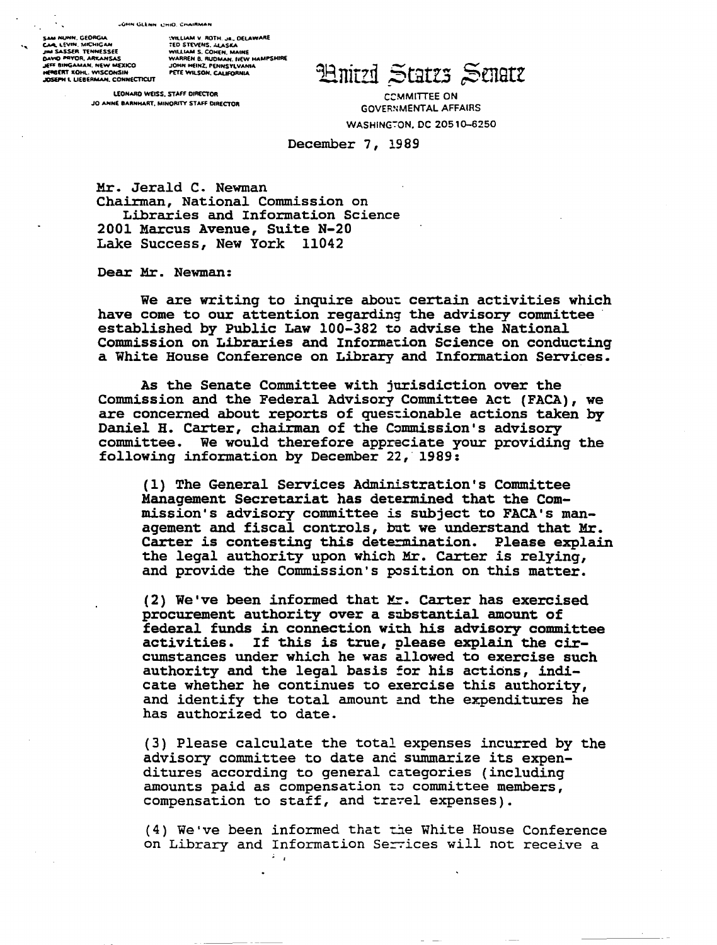SAM MUNN, GEORGIA<br>Car, LEVIN, MICHIGAN<br>JIM SASSER, TENNESSEE JIM SASSAN I ENNESSEE<br>JEFF BINGAMAN, NEW MEXICO<br>JEFF BINGAMAN, NEW MEXICO<br>HERBERT KOHL, WISCONSIN<br>JOSEPH I, LIEBERMAN, CONNECTICUT

:VILLIAM V. ROTH. Ja., OELAWARE<br>TED STEVENS. ALASKA<br>WILLIAM S. COHEN, MAINE<br>WARREN B. RUDMAN, IKEW HAMPSHIRE<br>JOHN HEINZ, FENNSYLVANIA<br>PETE WILSON, CALIFORNIA

LEONARD WEISS, STAFF DIRECTOR JO ANNE BARNHART, MINORITY STAFF DIRECTOR

**Hnitzi Statzs Senatz** 

**COMMITTEE ON GOVERNMENTAL AFFAIRS** WASHINGTON, DC 20510-6250

December 7, 1989

Mr. Jerald C. Newman Chairman, National Commission on Libraries and Information Science 2001 Marcus Avenue, Suite N-20 Lake Success, New York 11042

Dear Mr. Newman:

We are writing to inquire about certain activities which have come to our attention regarding the advisory committee established by Public Law 100-382 to advise the National Commission on Libraries and Information Science on conducting a White House Conference on Library and Information Services.

As the Senate Committee with jurisdiction over the Commission and the Federal Advisory Committee Act (FACA), we are concerned about reports of questionable actions taken by Daniel H. Carter, chairman of the Commission's advisory committee. We would therefore appreciate your providing the following information by December 22, 1989:

(1) The General Services Administration's Committee Management Secretariat has determined that the Commission's advisory committee is subject to FACA's management and fiscal controls, but we understand that Mr. Carter is contesting this determination. Please explain the legal authority upon which Mr. Carter is relying, and provide the Commission's position on this matter.

(2) We've been informed that Mr. Carter has exercised procurement authority over a substantial amount of federal funds in connection with his advisory committee activities. If this is true, please explain the circumstances under which he was allowed to exercise such authority and the legal basis for his actions, indicate whether he continues to exercise this authority, and identify the total amount and the expenditures he has authorized to date.

(3) Please calculate the total expenses incurred by the advisory committee to date and summarize its expenditures according to general categories (including amounts paid as compensation to committee members, compensation to staff, and travel expenses).

(4) We've been informed that the White House Conference on Library and Information Services will not receive a  $\lambda = \mu$